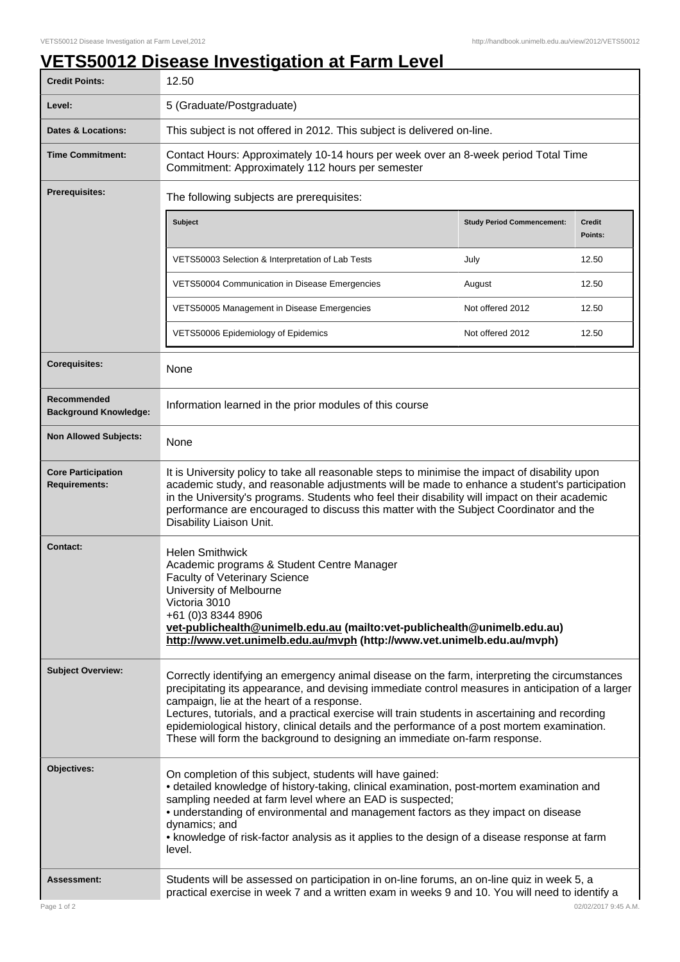## **VETS50012 Disease Investigation at Farm Level**

| <b>Credit Points:</b>                             | 12.50                                                                                                                                                                                                                                                                                                                                                                                                                                                                                                                           |                                   |                          |
|---------------------------------------------------|---------------------------------------------------------------------------------------------------------------------------------------------------------------------------------------------------------------------------------------------------------------------------------------------------------------------------------------------------------------------------------------------------------------------------------------------------------------------------------------------------------------------------------|-----------------------------------|--------------------------|
| Level:                                            | 5 (Graduate/Postgraduate)                                                                                                                                                                                                                                                                                                                                                                                                                                                                                                       |                                   |                          |
| <b>Dates &amp; Locations:</b>                     | This subject is not offered in 2012. This subject is delivered on-line.                                                                                                                                                                                                                                                                                                                                                                                                                                                         |                                   |                          |
| <b>Time Commitment:</b>                           | Contact Hours: Approximately 10-14 hours per week over an 8-week period Total Time<br>Commitment: Approximately 112 hours per semester                                                                                                                                                                                                                                                                                                                                                                                          |                                   |                          |
| <b>Prerequisites:</b>                             | The following subjects are prerequisites:                                                                                                                                                                                                                                                                                                                                                                                                                                                                                       |                                   |                          |
|                                                   | Subject                                                                                                                                                                                                                                                                                                                                                                                                                                                                                                                         | <b>Study Period Commencement:</b> | <b>Credit</b><br>Points: |
|                                                   | VETS50003 Selection & Interpretation of Lab Tests                                                                                                                                                                                                                                                                                                                                                                                                                                                                               | July                              | 12.50                    |
|                                                   | VETS50004 Communication in Disease Emergencies                                                                                                                                                                                                                                                                                                                                                                                                                                                                                  | August                            | 12.50                    |
|                                                   | VETS50005 Management in Disease Emergencies                                                                                                                                                                                                                                                                                                                                                                                                                                                                                     | Not offered 2012                  | 12.50                    |
|                                                   | VETS50006 Epidemiology of Epidemics                                                                                                                                                                                                                                                                                                                                                                                                                                                                                             | Not offered 2012                  | 12.50                    |
| <b>Corequisites:</b>                              | None                                                                                                                                                                                                                                                                                                                                                                                                                                                                                                                            |                                   |                          |
| Recommended<br><b>Background Knowledge:</b>       | Information learned in the prior modules of this course                                                                                                                                                                                                                                                                                                                                                                                                                                                                         |                                   |                          |
| <b>Non Allowed Subjects:</b>                      | None                                                                                                                                                                                                                                                                                                                                                                                                                                                                                                                            |                                   |                          |
| <b>Core Participation</b><br><b>Requirements:</b> | It is University policy to take all reasonable steps to minimise the impact of disability upon<br>academic study, and reasonable adjustments will be made to enhance a student's participation<br>in the University's programs. Students who feel their disability will impact on their academic<br>performance are encouraged to discuss this matter with the Subject Coordinator and the<br>Disability Liaison Unit.                                                                                                          |                                   |                          |
| <b>Contact:</b>                                   | <b>Helen Smithwick</b><br>Academic programs & Student Centre Manager<br><b>Faculty of Veterinary Science</b><br>University of Melbourne<br>Victoria 3010<br>+61 (0)3 8344 8906<br>vet-publichealth@unimelb.edu.au (mailto:vet-publichealth@unimelb.edu.au)<br>http://www.vet.unimelb.edu.au/mvph (http://www.vet.unimelb.edu.au/mvph)                                                                                                                                                                                           |                                   |                          |
| <b>Subject Overview:</b>                          | Correctly identifying an emergency animal disease on the farm, interpreting the circumstances<br>precipitating its appearance, and devising immediate control measures in anticipation of a larger<br>campaign, lie at the heart of a response.<br>Lectures, tutorials, and a practical exercise will train students in ascertaining and recording<br>epidemiological history, clinical details and the performance of a post mortem examination.<br>These will form the background to designing an immediate on-farm response. |                                   |                          |
| Objectives:                                       | On completion of this subject, students will have gained:<br>• detailed knowledge of history-taking, clinical examination, post-mortem examination and<br>sampling needed at farm level where an EAD is suspected;<br>• understanding of environmental and management factors as they impact on disease<br>dynamics; and<br>• knowledge of risk-factor analysis as it applies to the design of a disease response at farm<br>level.                                                                                             |                                   |                          |
| <b>Assessment:</b>                                | Students will be assessed on participation in on-line forums, an on-line quiz in week 5, a<br>practical exercise in week 7 and a written exam in weeks 9 and 10. You will need to identify a                                                                                                                                                                                                                                                                                                                                    |                                   |                          |
| Page 1 of 2                                       |                                                                                                                                                                                                                                                                                                                                                                                                                                                                                                                                 |                                   | 02/02/2017 9:45 A.M.     |